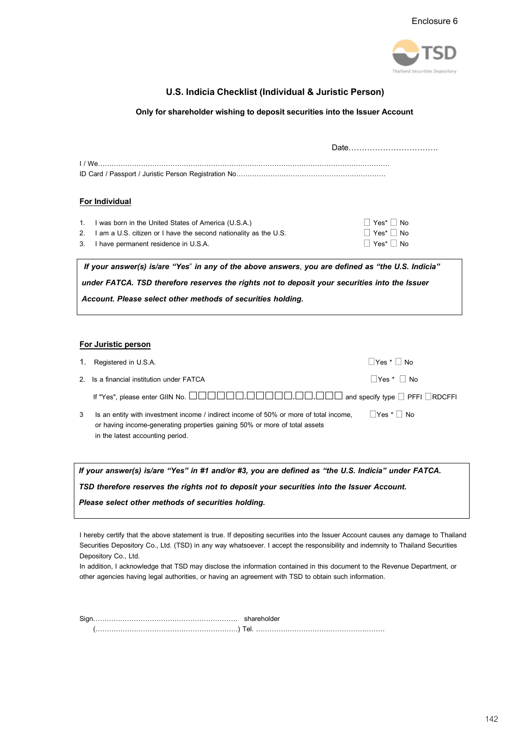

### **U.S. Indicia Checklist (Individual & Juristic Person)**

#### **Only forshareholder wishing to deposit securities into the Issuer Account**

|                                                                                                   |                                                                  | Date           |  |  |  |  |
|---------------------------------------------------------------------------------------------------|------------------------------------------------------------------|----------------|--|--|--|--|
|                                                                                                   | <u> 1/We…………………………………………………………………………………</u>                      |                |  |  |  |  |
|                                                                                                   |                                                                  |                |  |  |  |  |
|                                                                                                   | <b>For Individual</b>                                            |                |  |  |  |  |
| 1.                                                                                                | I was born in the United States of America (U.S.A.)              | $Yes^*$     No |  |  |  |  |
| 2.                                                                                                | I am a U.S. citizen or I have the second nationality as the U.S. | Yes*  No       |  |  |  |  |
| 3.                                                                                                | I have permanent residence in U.S.A.                             | $Yes^*$   $No$ |  |  |  |  |
| If your answer(s) is/are "Yes" in any of the above answers, you are defined as "the U.S. Indicia" |                                                                  |                |  |  |  |  |
| under FATCA. TSD therefore reserves the rights not to deposit your securities into the Issuer     |                                                                  |                |  |  |  |  |

*Account. Please select other methods of securities holding.*

#### **For Juristic person**

|   | 1. Registered in U.S.A.                                                                                                                                                                                 | $Yes *   Na$    |
|---|---------------------------------------------------------------------------------------------------------------------------------------------------------------------------------------------------------|-----------------|
|   | 2. Is a financial institution under FATCA                                                                                                                                                               | ∣  Yes * ∣   No |
|   |                                                                                                                                                                                                         |                 |
| 3 | Is an entity with investment income / indirect income of 50% or more of total income,<br>or having income-generating properties gaining 50% or more of total assets<br>in the latest accounting period. | Yes *     No    |

If your answer(s) is/are "Yes" in #1 and/or #3, you are defined as "the U.S. Indicia" under FATCA.

*TSD therefore reserves the rights not to deposit your securities into the Issuer Account.* 

#### *Please select other methods of securities holding.*

I hereby certify that the above statement is true. If depositing securities into the Issuer Account causes any damage to Thailand Securities Depository Co., Ltd. (TSD) in any way whatsoever. I accept the responsibility and indemnity to Thailand Securities Depository Co., Ltd.

In addition, I acknowledge that TSD may disclose the information contained in this document to the Revenue Department, or other agencies having legal authorities, or having an agreement with TSD to obtain such information.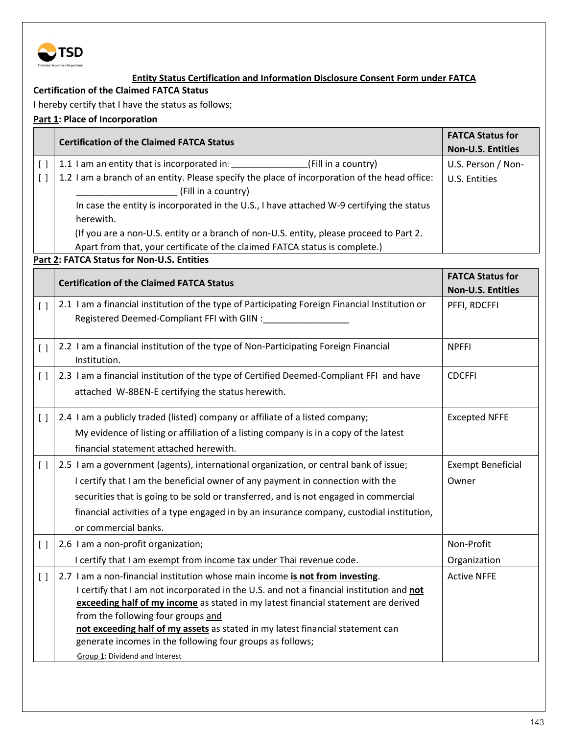

## **Entity Status Certification and Information Disclosure Consent Form under FATCA**

## **Certification of the Claimed FATCA Status**

I hereby certify that I have the status as follows;

# **Part 1: Place of Incorporation**

|                                               | <b>Certification of the Claimed FATCA Status</b>                                                                                                                                                                                                                                                                                                                                        | <b>FATCA Status for</b><br><b>Non-U.S. Entities</b> |  |  |  |  |
|-----------------------------------------------|-----------------------------------------------------------------------------------------------------------------------------------------------------------------------------------------------------------------------------------------------------------------------------------------------------------------------------------------------------------------------------------------|-----------------------------------------------------|--|--|--|--|
| $\left[ \ \right]$                            | 1.1 I am an entity that is incorporated in: ___________________(Fill in a country)                                                                                                                                                                                                                                                                                                      | U.S. Person / Non-                                  |  |  |  |  |
| $\left[ \quad \right]$                        | 1.2 I am a branch of an entity. Please specify the place of incorporation of the head office:<br>(Fill in a country)                                                                                                                                                                                                                                                                    | U.S. Entities                                       |  |  |  |  |
|                                               | In case the entity is incorporated in the U.S., I have attached W-9 certifying the status<br>herewith.                                                                                                                                                                                                                                                                                  |                                                     |  |  |  |  |
|                                               | (If you are a non-U.S. entity or a branch of non-U.S. entity, please proceed to Part 2.<br>Apart from that, your certificate of the claimed FATCA status is complete.)                                                                                                                                                                                                                  |                                                     |  |  |  |  |
|                                               | Part 2: FATCA Status for Non-U.S. Entities                                                                                                                                                                                                                                                                                                                                              |                                                     |  |  |  |  |
|                                               | <b>Certification of the Claimed FATCA Status</b>                                                                                                                                                                                                                                                                                                                                        | <b>FATCA Status for</b><br><b>Non-U.S. Entities</b> |  |  |  |  |
| $\left[ \quad \right]$                        | 2.1 I am a financial institution of the type of Participating Foreign Financial Institution or<br>Registered Deemed-Compliant FFI with GIIN :__________                                                                                                                                                                                                                                 | PFFI, RDCFFI                                        |  |  |  |  |
| $\left[ \ \right]$                            | 2.2 I am a financial institution of the type of Non-Participating Foreign Financial<br>Institution.                                                                                                                                                                                                                                                                                     | <b>NPFFI</b>                                        |  |  |  |  |
| $\left[ \quad \right]$                        | 2.3 I am a financial institution of the type of Certified Deemed-Compliant FFI and have<br>attached W-8BEN-E certifying the status herewith.                                                                                                                                                                                                                                            | <b>CDCFFI</b>                                       |  |  |  |  |
| $\left[ \quad \right]$                        | 2.4 I am a publicly traded (listed) company or affiliate of a listed company;                                                                                                                                                                                                                                                                                                           | <b>Excepted NFFE</b>                                |  |  |  |  |
|                                               | My evidence of listing or affiliation of a listing company is in a copy of the latest                                                                                                                                                                                                                                                                                                   |                                                     |  |  |  |  |
|                                               | financial statement attached herewith.                                                                                                                                                                                                                                                                                                                                                  |                                                     |  |  |  |  |
| $\left[ \quad \right]$                        | 2.5 I am a government (agents), international organization, or central bank of issue;                                                                                                                                                                                                                                                                                                   | <b>Exempt Beneficial</b>                            |  |  |  |  |
|                                               | I certify that I am the beneficial owner of any payment in connection with the                                                                                                                                                                                                                                                                                                          | Owner                                               |  |  |  |  |
|                                               | securities that is going to be sold or transferred, and is not engaged in commercial                                                                                                                                                                                                                                                                                                    |                                                     |  |  |  |  |
|                                               | financial activities of a type engaged in by an insurance company, custodial institution,                                                                                                                                                                                                                                                                                               |                                                     |  |  |  |  |
|                                               | or commercial banks.                                                                                                                                                                                                                                                                                                                                                                    |                                                     |  |  |  |  |
|                                               | 2.6 I am a non-profit organization;                                                                                                                                                                                                                                                                                                                                                     | Non-Profit                                          |  |  |  |  |
|                                               | I certify that I am exempt from income tax under Thai revenue code.                                                                                                                                                                                                                                                                                                                     | Organization                                        |  |  |  |  |
| $\left[ \begin{array}{c} \end{array} \right]$ | 2.7 I am a non-financial institution whose main income is not from investing.<br>I certify that I am not incorporated in the U.S. and not a financial institution and not<br>exceeding half of my income as stated in my latest financial statement are derived<br>from the following four groups and<br>not exceeding half of my assets as stated in my latest financial statement can | <b>Active NFFE</b>                                  |  |  |  |  |
|                                               | generate incomes in the following four groups as follows;                                                                                                                                                                                                                                                                                                                               |                                                     |  |  |  |  |
|                                               | Group 1: Dividend and Interest                                                                                                                                                                                                                                                                                                                                                          |                                                     |  |  |  |  |